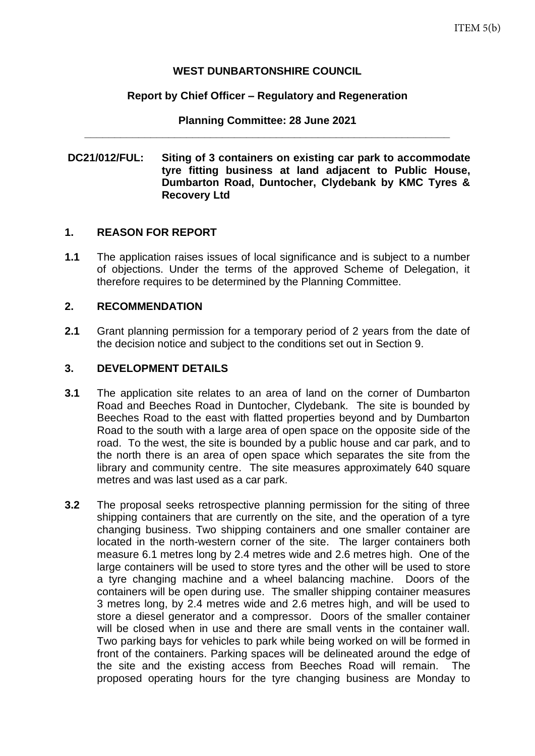## **WEST DUNBARTONSHIRE COUNCIL**

#### **Report by Chief Officer – Regulatory and Regeneration**

**Planning Committee: 28 June 2021 \_\_\_\_\_\_\_\_\_\_\_\_\_\_\_\_\_\_\_\_\_\_\_\_\_\_\_\_\_\_\_\_\_\_\_\_\_\_\_\_\_\_\_\_\_\_\_\_\_\_\_\_\_\_\_\_\_\_\_\_\_**

### **DC21/012/FUL: Siting of 3 containers on existing car park to accommodate tyre fitting business at land adjacent to Public House, Dumbarton Road, Duntocher, Clydebank by KMC Tyres & Recovery Ltd**

## **1. REASON FOR REPORT**

**1.1** The application raises issues of local significance and is subject to a number of objections. Under the terms of the approved Scheme of Delegation, it therefore requires to be determined by the Planning Committee.

#### **2. RECOMMENDATION**

**2.1** Grant planning permission for a temporary period of 2 years from the date of the decision notice and subject to the conditions set out in Section 9.

## **3. DEVELOPMENT DETAILS**

- **3.1** The application site relates to an area of land on the corner of Dumbarton Road and Beeches Road in Duntocher, Clydebank. The site is bounded by Beeches Road to the east with flatted properties beyond and by Dumbarton Road to the south with a large area of open space on the opposite side of the road. To the west, the site is bounded by a public house and car park, and to the north there is an area of open space which separates the site from the library and community centre. The site measures approximately 640 square metres and was last used as a car park.
- **3.2** The proposal seeks retrospective planning permission for the siting of three shipping containers that are currently on the site, and the operation of a tyre changing business. Two shipping containers and one smaller container are located in the north-western corner of the site. The larger containers both measure 6.1 metres long by 2.4 metres wide and 2.6 metres high. One of the large containers will be used to store tyres and the other will be used to store a tyre changing machine and a wheel balancing machine. Doors of the containers will be open during use. The smaller shipping container measures 3 metres long, by 2.4 metres wide and 2.6 metres high, and will be used to store a diesel generator and a compressor. Doors of the smaller container will be closed when in use and there are small vents in the container wall. Two parking bays for vehicles to park while being worked on will be formed in front of the containers. Parking spaces will be delineated around the edge of the site and the existing access from Beeches Road will remain. The proposed operating hours for the tyre changing business are Monday to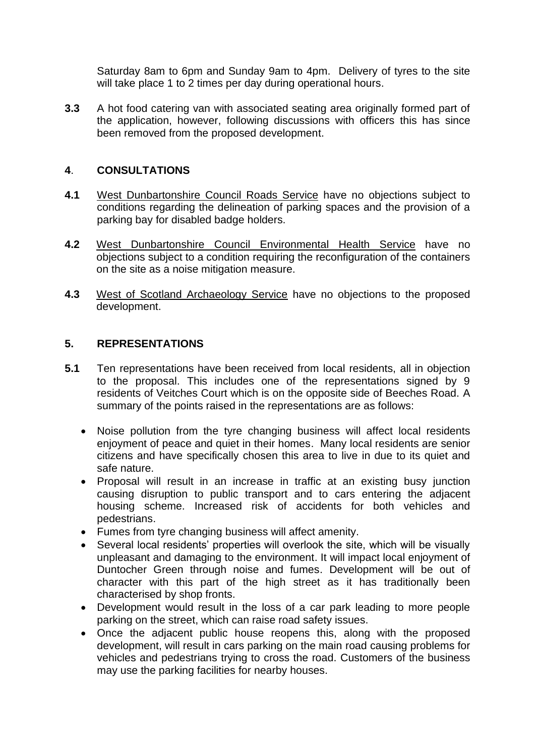Saturday 8am to 6pm and Sunday 9am to 4pm. Delivery of tyres to the site will take place 1 to 2 times per day during operational hours.

**3.3** A hot food catering van with associated seating area originally formed part of the application, however, following discussions with officers this has since been removed from the proposed development.

## **4**. **CONSULTATIONS**

- **4.1** West Dunbartonshire Council Roads Service have no objections subject to conditions regarding the delineation of parking spaces and the provision of a parking bay for disabled badge holders.
- **4.2** West Dunbartonshire Council Environmental Health Service have no objections subject to a condition requiring the reconfiguration of the containers on the site as a noise mitigation measure.
- **4.3** West of Scotland Archaeology Service have no objections to the proposed development.

## **5. REPRESENTATIONS**

- **5.1** Ten representations have been received from local residents, all in objection to the proposal. This includes one of the representations signed by 9 residents of Veitches Court which is on the opposite side of Beeches Road. A summary of the points raised in the representations are as follows:
	- Noise pollution from the tyre changing business will affect local residents enjoyment of peace and quiet in their homes. Many local residents are senior citizens and have specifically chosen this area to live in due to its quiet and safe nature.
	- Proposal will result in an increase in traffic at an existing busy junction causing disruption to public transport and to cars entering the adjacent housing scheme. Increased risk of accidents for both vehicles and pedestrians.
	- Fumes from tyre changing business will affect amenity.
	- Several local residents' properties will overlook the site, which will be visually unpleasant and damaging to the environment. It will impact local enjoyment of Duntocher Green through noise and fumes. Development will be out of character with this part of the high street as it has traditionally been characterised by shop fronts.
	- Development would result in the loss of a car park leading to more people parking on the street, which can raise road safety issues.
	- Once the adjacent public house reopens this, along with the proposed development, will result in cars parking on the main road causing problems for vehicles and pedestrians trying to cross the road. Customers of the business may use the parking facilities for nearby houses.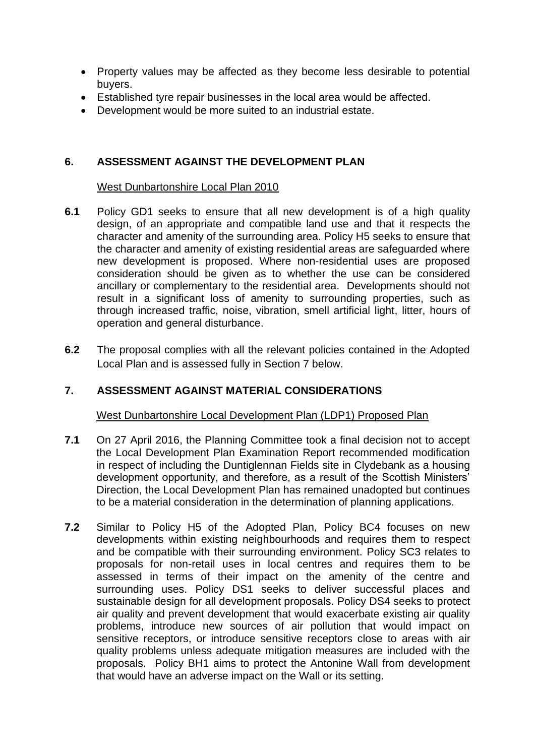- Property values may be affected as they become less desirable to potential buyers.
- Established tyre repair businesses in the local area would be affected.
- Development would be more suited to an industrial estate.

## **6. ASSESSMENT AGAINST THE DEVELOPMENT PLAN**

### West Dunbartonshire Local Plan 2010

- **6.1** Policy GD1 seeks to ensure that all new development is of a high quality design, of an appropriate and compatible land use and that it respects the character and amenity of the surrounding area. Policy H5 seeks to ensure that the character and amenity of existing residential areas are safeguarded where new development is proposed. Where non-residential uses are proposed consideration should be given as to whether the use can be considered ancillary or complementary to the residential area. Developments should not result in a significant loss of amenity to surrounding properties, such as through increased traffic, noise, vibration, smell artificial light, litter, hours of operation and general disturbance.
- **6.2** The proposal complies with all the relevant policies contained in the Adopted Local Plan and is assessed fully in Section 7 below.

# **7. ASSESSMENT AGAINST MATERIAL CONSIDERATIONS**

West Dunbartonshire Local Development Plan (LDP1) Proposed Plan

- **7.1** On 27 April 2016, the Planning Committee took a final decision not to accept the Local Development Plan Examination Report recommended modification in respect of including the Duntiglennan Fields site in Clydebank as a housing development opportunity, and therefore, as a result of the Scottish Ministers' Direction, the Local Development Plan has remained unadopted but continues to be a material consideration in the determination of planning applications.
- **7.2** Similar to Policy H5 of the Adopted Plan, Policy BC4 focuses on new developments within existing neighbourhoods and requires them to respect and be compatible with their surrounding environment. Policy SC3 relates to proposals for non-retail uses in local centres and requires them to be assessed in terms of their impact on the amenity of the centre and surrounding uses. Policy DS1 seeks to deliver successful places and sustainable design for all development proposals. Policy DS4 seeks to protect air quality and prevent development that would exacerbate existing air quality problems, introduce new sources of air pollution that would impact on sensitive receptors, or introduce sensitive receptors close to areas with air quality problems unless adequate mitigation measures are included with the proposals. Policy BH1 aims to protect the Antonine Wall from development that would have an adverse impact on the Wall or its setting.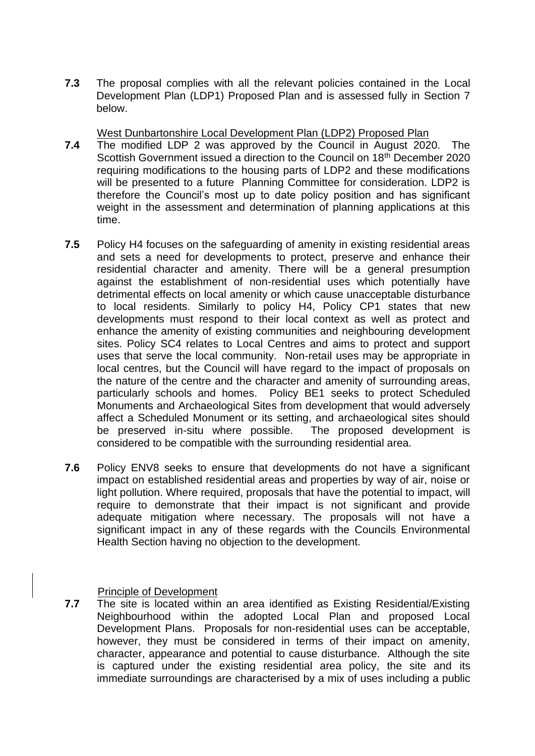**7.3** The proposal complies with all the relevant policies contained in the Local Development Plan (LDP1) Proposed Plan and is assessed fully in Section 7 below.

West Dunbartonshire Local Development Plan (LDP2) Proposed Plan

- **7.4** The modified LDP 2 was approved by the Council in August 2020. The Scottish Government issued a direction to the Council on 18<sup>th</sup> December 2020 requiring modifications to the housing parts of LDP2 and these modifications will be presented to a future Planning Committee for consideration. LDP2 is therefore the Council's most up to date policy position and has significant weight in the assessment and determination of planning applications at this time.
- **7.5** Policy H4 focuses on the safeguarding of amenity in existing residential areas and sets a need for developments to protect, preserve and enhance their residential character and amenity. There will be a general presumption against the establishment of non-residential uses which potentially have detrimental effects on local amenity or which cause unacceptable disturbance to local residents. Similarly to policy H4, Policy CP1 states that new developments must respond to their local context as well as protect and enhance the amenity of existing communities and neighbouring development sites. Policy SC4 relates to Local Centres and aims to protect and support uses that serve the local community. Non-retail uses may be appropriate in local centres, but the Council will have regard to the impact of proposals on the nature of the centre and the character and amenity of surrounding areas, particularly schools and homes. Policy BE1 seeks to protect Scheduled Monuments and Archaeological Sites from development that would adversely affect a Scheduled Monument or its setting, and archaeological sites should be preserved in-situ where possible. The proposed development is considered to be compatible with the surrounding residential area.
- **7.6** Policy ENV8 seeks to ensure that developments do not have a significant impact on established residential areas and properties by way of air, noise or light pollution. Where required, proposals that have the potential to impact, will require to demonstrate that their impact is not significant and provide adequate mitigation where necessary. The proposals will not have a significant impact in any of these regards with the Councils Environmental Health Section having no objection to the development.

## Principle of Development

**7.7** The site is located within an area identified as Existing Residential/Existing Neighbourhood within the adopted Local Plan and proposed Local Development Plans. Proposals for non-residential uses can be acceptable, however, they must be considered in terms of their impact on amenity, character, appearance and potential to cause disturbance. Although the site is captured under the existing residential area policy, the site and its immediate surroundings are characterised by a mix of uses including a public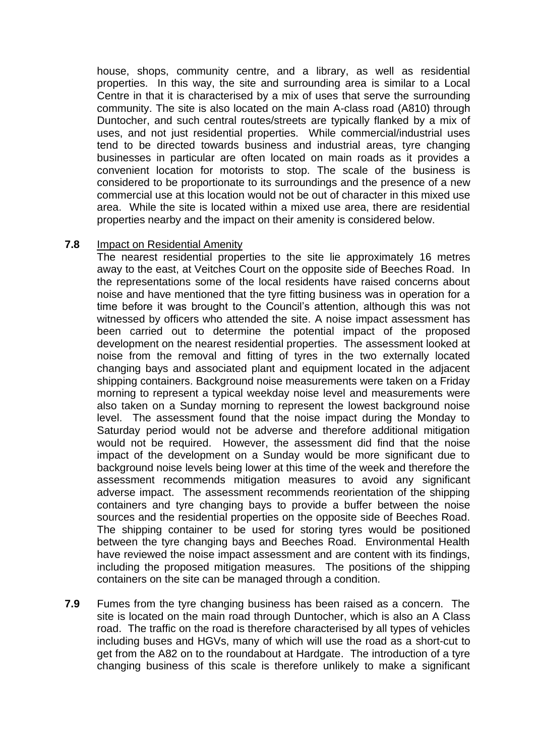house, shops, community centre, and a library, as well as residential properties. In this way, the site and surrounding area is similar to a Local Centre in that it is characterised by a mix of uses that serve the surrounding community. The site is also located on the main A-class road (A810) through Duntocher, and such central routes/streets are typically flanked by a mix of uses, and not just residential properties. While commercial/industrial uses tend to be directed towards business and industrial areas, tyre changing businesses in particular are often located on main roads as it provides a convenient location for motorists to stop. The scale of the business is considered to be proportionate to its surroundings and the presence of a new commercial use at this location would not be out of character in this mixed use area. While the site is located within a mixed use area, there are residential properties nearby and the impact on their amenity is considered below.

#### **7.8** Impact on Residential Amenity

The nearest residential properties to the site lie approximately 16 metres away to the east, at Veitches Court on the opposite side of Beeches Road. In the representations some of the local residents have raised concerns about noise and have mentioned that the tyre fitting business was in operation for a time before it was brought to the Council's attention, although this was not witnessed by officers who attended the site. A noise impact assessment has been carried out to determine the potential impact of the proposed development on the nearest residential properties. The assessment looked at noise from the removal and fitting of tyres in the two externally located changing bays and associated plant and equipment located in the adjacent shipping containers. Background noise measurements were taken on a Friday morning to represent a typical weekday noise level and measurements were also taken on a Sunday morning to represent the lowest background noise level. The assessment found that the noise impact during the Monday to Saturday period would not be adverse and therefore additional mitigation would not be required. However, the assessment did find that the noise impact of the development on a Sunday would be more significant due to background noise levels being lower at this time of the week and therefore the assessment recommends mitigation measures to avoid any significant adverse impact. The assessment recommends reorientation of the shipping containers and tyre changing bays to provide a buffer between the noise sources and the residential properties on the opposite side of Beeches Road. The shipping container to be used for storing tyres would be positioned between the tyre changing bays and Beeches Road. Environmental Health have reviewed the noise impact assessment and are content with its findings, including the proposed mitigation measures. The positions of the shipping containers on the site can be managed through a condition.

**7.9** Fumes from the tyre changing business has been raised as a concern. The site is located on the main road through Duntocher, which is also an A Class road. The traffic on the road is therefore characterised by all types of vehicles including buses and HGVs, many of which will use the road as a short-cut to get from the A82 on to the roundabout at Hardgate. The introduction of a tyre changing business of this scale is therefore unlikely to make a significant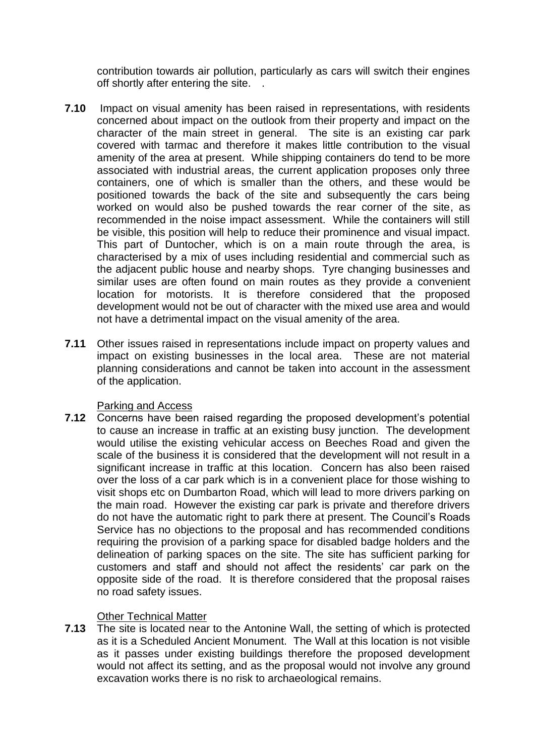contribution towards air pollution, particularly as cars will switch their engines off shortly after entering the site. .

- **7.10** Impact on visual amenity has been raised in representations, with residents concerned about impact on the outlook from their property and impact on the character of the main street in general. The site is an existing car park covered with tarmac and therefore it makes little contribution to the visual amenity of the area at present. While shipping containers do tend to be more associated with industrial areas, the current application proposes only three containers, one of which is smaller than the others, and these would be positioned towards the back of the site and subsequently the cars being worked on would also be pushed towards the rear corner of the site, as recommended in the noise impact assessment. While the containers will still be visible, this position will help to reduce their prominence and visual impact. This part of Duntocher, which is on a main route through the area, is characterised by a mix of uses including residential and commercial such as the adjacent public house and nearby shops. Tyre changing businesses and similar uses are often found on main routes as they provide a convenient location for motorists. It is therefore considered that the proposed development would not be out of character with the mixed use area and would not have a detrimental impact on the visual amenity of the area.
- **7.11** Other issues raised in representations include impact on property values and impact on existing businesses in the local area. These are not material planning considerations and cannot be taken into account in the assessment of the application.

## Parking and Access

**7.12** Concerns have been raised regarding the proposed development's potential to cause an increase in traffic at an existing busy junction. The development would utilise the existing vehicular access on Beeches Road and given the scale of the business it is considered that the development will not result in a significant increase in traffic at this location. Concern has also been raised over the loss of a car park which is in a convenient place for those wishing to visit shops etc on Dumbarton Road, which will lead to more drivers parking on the main road. However the existing car park is private and therefore drivers do not have the automatic right to park there at present. The Council's Roads Service has no objections to the proposal and has recommended conditions requiring the provision of a parking space for disabled badge holders and the delineation of parking spaces on the site. The site has sufficient parking for customers and staff and should not affect the residents' car park on the opposite side of the road. It is therefore considered that the proposal raises no road safety issues.

# Other Technical Matter

**7.13** The site is located near to the Antonine Wall, the setting of which is protected as it is a Scheduled Ancient Monument. The Wall at this location is not visible as it passes under existing buildings therefore the proposed development would not affect its setting, and as the proposal would not involve any ground excavation works there is no risk to archaeological remains.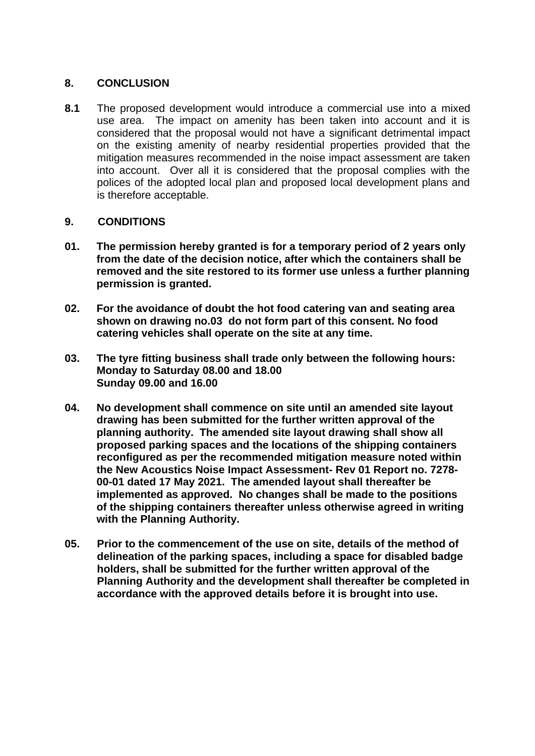## **8. CONCLUSION**

**8.1** The proposed development would introduce a commercial use into a mixed use area. The impact on amenity has been taken into account and it is considered that the proposal would not have a significant detrimental impact on the existing amenity of nearby residential properties provided that the mitigation measures recommended in the noise impact assessment are taken into account. Over all it is considered that the proposal complies with the polices of the adopted local plan and proposed local development plans and is therefore acceptable.

## **9. CONDITIONS**

- **01. The permission hereby granted is for a temporary period of 2 years only from the date of the decision notice, after which the containers shall be removed and the site restored to its former use unless a further planning permission is granted.**
- **02. For the avoidance of doubt the hot food catering van and seating area shown on drawing no.03 do not form part of this consent. No food catering vehicles shall operate on the site at any time.**
- **03. The tyre fitting business shall trade only between the following hours: Monday to Saturday 08.00 and 18.00 Sunday 09.00 and 16.00**
- **04. No development shall commence on site until an amended site layout drawing has been submitted for the further written approval of the planning authority. The amended site layout drawing shall show all proposed parking spaces and the locations of the shipping containers reconfigured as per the recommended mitigation measure noted within the New Acoustics Noise Impact Assessment- Rev 01 Report no. 7278- 00-01 dated 17 May 2021. The amended layout shall thereafter be implemented as approved. No changes shall be made to the positions of the shipping containers thereafter unless otherwise agreed in writing with the Planning Authority.**
- **05. Prior to the commencement of the use on site, details of the method of delineation of the parking spaces, including a space for disabled badge holders, shall be submitted for the further written approval of the Planning Authority and the development shall thereafter be completed in accordance with the approved details before it is brought into use.**